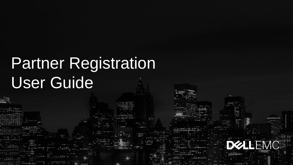# Partner Registration User Guide

**DELEMO**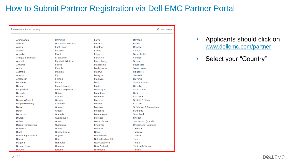| Please select your country    |                           |                             | Save selection               |
|-------------------------------|---------------------------|-----------------------------|------------------------------|
| Afghanistan                   | Dominica                  | Latvia                      | Romania                      |
| Albania                       | <b>Dominican Republic</b> | Lebanon                     | <b>Russia</b>                |
| Algeria                       | <b>Fast Timor</b>         | Lesotho                     | Rwanda                       |
| Angola                        | <b>Fcuador</b>            | Liberia                     | Samoa                        |
| Anguilla                      | Egypt                     | Libya                       | Saudi Arabia                 |
| Antigua & Barbuda             | El Salvador               | Lithuania                   | Senegal                      |
| Argentina                     | <b>Equatorial Guinea</b>  | Luxembourg                  | Serbia                       |
| Armenia                       | Eritrea                   | Macedonia                   | Seychelles                   |
| Aruba                         | Estonia                   | Madagascar                  | Sierra Leone                 |
| Australia                     | Ethiopia                  | Malawi                      | Singapore                    |
| Austria                       | Fiji                      | Malaysia                    | Slovakia                     |
| Azerbaijan                    | Finland                   | <b>Maldives</b>             | Slovenia                     |
| <b>Bahamas</b>                | France                    | Mali                        | Solomon Island               |
| <b>Bahrain</b>                | <b>French Guiana</b>      | Malta                       | Somalia                      |
| Bangladesh                    | <b>French Polynesia</b>   | <b>Martinique</b>           | South Africa                 |
| <b>Barbados</b>               | Gabon                     | Mauritania                  | Spain                        |
| <b>Belarus</b>                | Gambia                    | <b>Mauritius</b>            | Sri Lanka                    |
| Belgium (Dutch)               | Georgia                   | Mayotte                     | St. Kitts & Nevis            |
| Belgium (French)              | Germany                   | <b>Mexico</b>               | St. Lucia                    |
| <b>Belize</b>                 | Ghana                     | Moldova                     | St. Vincent & Grenadines     |
| <b>Benin</b>                  | Greece                    | Mongolia                    | Suriname                     |
| Bermuda                       | Grenada                   | Montenegro                  | Swaziland                    |
| <b>Bhutan</b>                 | Guadeloupe                | Morocco                     | Sweden                       |
| <b>Bolivia</b>                | Guam                      | Mozambique                  | Switzerland (French)         |
| Bosnia-Herzegovina            | Guatemala                 | Myanmar                     | Switzerland (German)         |
| <b>Botswana</b>               | Guinea                    | Namibia                     | Tajikistan                   |
| Brazil                        | Guinea Bissau             | Nepal                       | Tanzania                     |
| <b>British Virgin Islands</b> | Guyana                    | <b>Netherlands</b>          | Thailand                     |
| <b>Brunei</b>                 | Haiti                     | <b>Netherlands Antilles</b> | <b>Togo</b>                  |
| <b>Bulgaria</b>               | <b>Honduras</b>           | New Caledonia               | Tonga                        |
| <b>Burkina Faso</b>           | Hungary                   | <b>New Zealand</b>          | <b>Trinidad &amp; Tobago</b> |
| <b>Burundi</b>                | Iceland                   | Nicaragua                   | Tunisia                      |

- Applicants should click on [www.dellemc.com/partner](http://www.dellemc.com/partner)
- Select your "Country"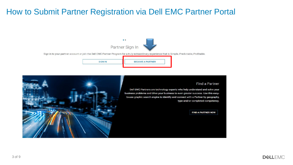

Sign in to your partner account or join the Dell EMC Partner Program for a truly extraordinary experience that is Simple, Predictable, Profitable.





Dell EMC Partners are technology experts who help understand and solve your business problems and drive your business to even greater success. Use this easyto-use graphic search engine to identify and connect with a Partner by geography, type and/or completed competency.





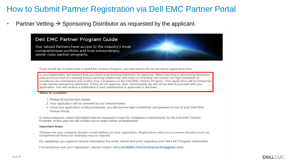Partner Vetting  $\rightarrow$  Sponsoring Distributor as requested by the applicant.

#### Dell EMC Partner Program Guide

Our valued Partners have access to the industry's most comprehensive portfolio and truly extraordinary, world-class partner programs.

If you would like to participate in Dell EMC Partner Program, you will need to fill out the below registration form.

In your application, we request that you name a sponsoring distributor for approval. When choosing a sponsoring distributor, please ensure that you already have a working relationship with them so that they can ensure our high standards of excellence are maintained and confirm your compliance in the Dell EMC Partner Program. Your application will be forwarded to the named sponsoring distributor. If they do not approve, then unfortunately we will not be able to proceed with your application. You will receive a notification if your membership is approved or declined.

#### Steps to complete:

- 1 Please fill out the form below
- 2. Your application will be reviewed by our internal teams.
- 3. Once your application is fully processed, you will receive login credentials and granted access to your Dell EMC Partner Portal.

In some instances, more information may be required to meet the compliance requirements for the Dell EMC Partner Program. In this case we will contact you to make further arrangements.

#### **Important Note!**

\*Please use your company domain e-mail address for your registration. Registrations with non-corporate domains (such as: Gmail/Hotmail/Yahoo for example) may be rejected.

By registering, you agree to receive information (by email, phone and post) regarding your Dell EMC Program relationship.

For assistance with your registration, please contact APJ.DellEMC.PartnerOnboarding@dell.com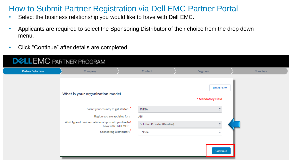- Select the business relationship you would like to have with Dell EMC.
- Applicants are required to select the Sponsoring Distributor of their choice from the drop down menu.
- Click "Continue" after details are completed.

| <b>DELLEMC</b> PARTNER PROGRAM |                                                                                                                                                                                                                                  |                                                                 |                                                                                     |          |  |  |  |  |
|--------------------------------|----------------------------------------------------------------------------------------------------------------------------------------------------------------------------------------------------------------------------------|-----------------------------------------------------------------|-------------------------------------------------------------------------------------|----------|--|--|--|--|
| <b>Partner Selection</b>       | Company                                                                                                                                                                                                                          | Contact                                                         | Segment                                                                             | Complete |  |  |  |  |
|                                | What is your organization model<br>Select your country to get started: <sup>*</sup><br>Region you are applying for :<br>What type of business relationship would you like to*<br>have with Dell EMC?:<br>Sponsoring Distributor: | <b>INDIA</b><br>APJ<br>Solution Provider (Reseller)<br>--None-- | <b>Reset Form</b><br>* Mandatory Field<br>۸<br>$\cdot$<br>$\frac{4}{7}$<br>Continue |          |  |  |  |  |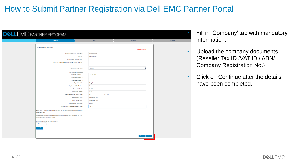| Company                                                                                                                                          | Contact             | Segment           |  |
|--------------------------------------------------------------------------------------------------------------------------------------------------|---------------------|-------------------|--|
| Tell about your company                                                                                                                          |                     | * Mandatory Fleld |  |
|                                                                                                                                                  |                     |                   |  |
| Full Legal Name of your organization:                                                                                                            | Precise Infotech    |                   |  |
| Trading As:                                                                                                                                      | Precise Infotech    |                   |  |
| Number of Branches/Subsidiaries:                                                                                                                 |                     |                   |  |
| Please provide your Dun & Bradstreet (D-U-N-S) Number If known :                                                                                 |                     |                   |  |
| Head of the Company:                                                                                                                             | Anand Kumar         |                   |  |
| Head of the Company title:                                                                                                                       | President           |                   |  |
| Please enter a physical address                                                                                                                  |                     |                   |  |
| Organization Address 1:                                                                                                                          | 125, 3rd Maln       |                   |  |
| Organization Address 2:                                                                                                                          |                     |                   |  |
| Organization Address 3:                                                                                                                          |                     |                   |  |
| Organization City:                                                                                                                               | Bangalore           |                   |  |
| Organization State / Province:                                                                                                                   | Kamataka            |                   |  |
| Organization Postal Code:                                                                                                                        | 560038              |                   |  |
| Organization Country:                                                                                                                            | <b>INDIA</b>        |                   |  |
| Phone: Country Code-Phone Number:                                                                                                                | 91<br>$-865432154$  |                   |  |
| Company website / URL:                                                                                                                           | www.precise.com     |                   |  |
| Form of Organization:                                                                                                                            | Sole Proprietorship |                   |  |
| Number of years in business?:                                                                                                                    | 1-3 years           |                   |  |
| Reseller Tax ID / Registered Business Number:                                                                                                    | 123245              |                   |  |
| Please attach your required State Reseller Certificate before submitting your application by using the<br>upload tool below                      |                     |                   |  |
| You may optionally add attachments to support your registration such as Tax Documents, etc. To do<br>this, select a file below and press Upload. |                     |                   |  |
| Optionally upload a file here (4MB maximum)<br><b>① Upload Files</b><br>No File Selected<br>Save Rie                                             |                     |                   |  |

- Fill in 'Company' tab with mandatory information.
- Upload the company documents (Reseller Tax ID /VAT ID / ABN/ Company Registration No.)
- Click on Continue after the details have been completed.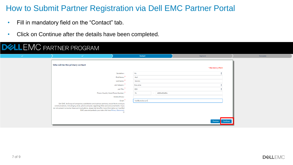- Fill in mandatory field on the "Contact" tab.
- Click on Continue after the details have been completed.

## **DELLEMC** PARTNER PROGRAM

| $\checkmark$ | $\mathcal{A}$                                                                                                                                                                                                                                                                                                                                                                                             |                                                                                                                            | Contact                                                              |                                | Segment           |                   | Complete |
|--------------|-----------------------------------------------------------------------------------------------------------------------------------------------------------------------------------------------------------------------------------------------------------------------------------------------------------------------------------------------------------------------------------------------------------|----------------------------------------------------------------------------------------------------------------------------|----------------------------------------------------------------------|--------------------------------|-------------------|-------------------|----------|
|              | Who will be the primary contact                                                                                                                                                                                                                                                                                                                                                                           |                                                                                                                            |                                                                      |                                | * Mandatory Field |                   |          |
|              | Phone: Country Code-Phone Number:<br>Dell EMC, Its Group of companies, subsidiaries and business partners, would like to send you<br>communications, including by email, phone and post, regarding offers and announcements. If you<br>do not consent to receive these communications, please tick here.For more information on how Dell<br>EMC uses and protects your data click here Privacy Statement. | Salutation:<br>First Name:<br>Last Name:<br>Job Category:<br>Job Title:<br>Mobile Phone:<br>Email:<br>$\qquad \qquad \Box$ | Mr.<br>Harl<br>Nerello<br>Executive<br>CEO<br>91<br>harl@precise.com | 45654654654<br><b>Contract</b> |                   |                   |          |
|              |                                                                                                                                                                                                                                                                                                                                                                                                           |                                                                                                                            |                                                                      |                                |                   | Previous Continue |          |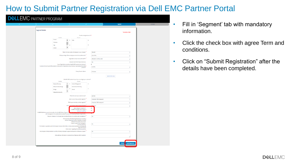| v                                                                                                                                                                                     | $\checkmark$                                                                                                                                                  |                   |                            | Segment                        | Complete |
|---------------------------------------------------------------------------------------------------------------------------------------------------------------------------------------|---------------------------------------------------------------------------------------------------------------------------------------------------------------|-------------------|----------------------------|--------------------------------|----------|
| Segment Detalls:                                                                                                                                                                      |                                                                                                                                                               |                   |                            | * Mandatory Field              |          |
|                                                                                                                                                                                       | Countries doing business in? 3                                                                                                                                |                   |                            |                                |          |
| Assistable<br>Iceland<br>$\blacktriangle$<br>$\,$<br>Indonesia<br>traq<br>$\overline{a}$<br>٠<br>Ireland                                                                              | Choosen<br>Inda                                                                                                                                               |                   |                            |                                |          |
|                                                                                                                                                                                       | What is the total number of employees in your company?                                                                                                        | 100499            |                            | ÷                              |          |
|                                                                                                                                                                                       | What percentage of these employees are technical professionals?                                                                                               | 51% 75%           |                            | ¢                              |          |
|                                                                                                                                                                                       | Organization annual revenues for last PI?                                                                                                                     |                   | \$501,000 \$1 Million LISD | ÷                              |          |
| Is your Organization currently selling Dell EMC products and solutions?                                                                                                               | We want to Sell VCE Products & Services                                                                                                                       | No<br>ø.          |                            | ¢                              |          |
| If yes [currently selling Dell EMC products], what percent of Organization annual revenue is generated with Dell EMC                                                                  | products?                                                                                                                                                     | 41.50%            |                            | ŧ                              |          |
|                                                                                                                                                                                       | Primary Route to Market                                                                                                                                       | <b>Reid sales</b> |                            | ÷                              |          |
|                                                                                                                                                                                       |                                                                                                                                                               |                   | Specify other value        |                                |          |
| Auchthie                                                                                                                                                                              | What Dell EMC products do you focus on selling to your customers?<br>Choosen                                                                                  |                   |                            |                                |          |
| Backup & Recovery<br>Enterprise Class Storage<br>Storage<br>۷<br>Natworking & Security                                                                                                | <b>Content Management</b><br>Governance & Archiving<br>Servers                                                                                                |                   |                            |                                |          |
|                                                                                                                                                                                       | What is the size of your customer base?                                                                                                                       | 100 500           |                            | ÷                              |          |
|                                                                                                                                                                                       | What is your primary customer segment?:                                                                                                                       |                   | Corporate (+500 employees) | ŧ                              |          |
|                                                                                                                                                                                       | What is your secondary customer segment?                                                                                                                      |                   | Corporate (+500 employees) | ¢                              |          |
| Which is your primary                                                                                                                                                                 | vertical market seement?<br>Agree to Export Compilance?:<br>1 AGREE to Dell ENC Partner Program»                                                              | ricals<br>ø<br>ø. |                            | ŧ                              |          |
| I UNDERSTAND that to receive the bonefits of the Dell EMC Partner Program and<br>with the program's Terms and Conditions and fulfill at least the minimum certification requirements. | Terms and Conditions                                                                                                                                          |                   |                            |                                |          |
| Has your company or its principals been convicted of bribery (or currently under investigation)?                                                                                      |                                                                                                                                                               | No                |                            | t                              |          |
|                                                                                                                                                                                       | Select yes if any of the following describes your company #<br>(current or past and inclusive of individual principals)<br>· Debarred from public procurement |                   |                            |                                |          |
| - Terminated or suspended by Dell Technologies (inclusive of Dell EMC, its wholly owned subsidiaries and Strategically                                                                | · Subject to government investigation<br>· Convicted of bribery<br>Algned Businesses                                                                          | No                |                            | ÷                              |          |
| Are principals (or tamily members) currently or formally employed in a government position of influence or power?:                                                                    | - Other concern regarding ethical business practices                                                                                                          | No                |                            | ÷                              |          |
| Enter additional information or comments here (Maximum 2000 characters)                                                                                                               |                                                                                                                                                               |                   |                            |                                |          |
|                                                                                                                                                                                       |                                                                                                                                                               |                   |                            |                                |          |
|                                                                                                                                                                                       |                                                                                                                                                               |                   |                            | Submit Registration<br>Provios |          |
|                                                                                                                                                                                       |                                                                                                                                                               |                   |                            |                                |          |

- Fill in 'Segment' tab with mandatory information.
- Click the check box with agree Term and conditions.
- Click on "Submit Registration" after the details have been completed.